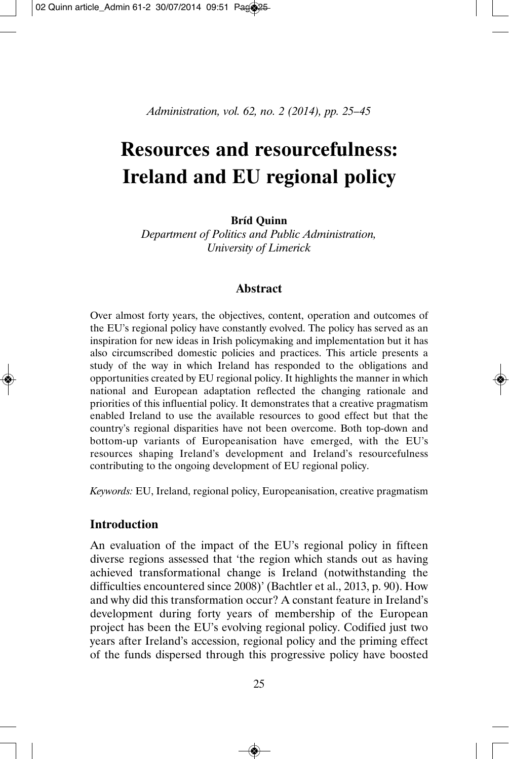*Administration, vol. 62, no. 2 (2014), pp. 25–45*

# **Resources and resourcefulness: Ireland and EU regional policy**

# **Bríd Quinn**

*Department of Politics and Public Administration, University of Limerick*

# **Abstract**

Over almost forty years, the objectives, content, operation and outcomes of the EU's regional policy have constantly evolved. The policy has served as an inspiration for new ideas in Irish policymaking and implementation but it has also circumscribed domestic policies and practices. This article presents a study of the way in which Ireland has responded to the obligations and opportunities created by EU regional policy. It highlights the manner in which national and European adaptation reflected the changing rationale and priorities of this influential policy. It demonstrates that a creative pragmatism enabled Ireland to use the available resources to good effect but that the country's regional disparities have not been overcome. Both top-down and bottom-up variants of Europeanisation have emerged, with the EU's resources shaping Ireland's development and Ireland's resourcefulness contributing to the ongoing development of EU regional policy.

*Keywords:* EU, Ireland, regional policy, Europeanisation, creative pragmatism

## **Introduction**

An evaluation of the impact of the EU's regional policy in fifteen diverse regions assessed that 'the region which stands out as having achieved transformational change is Ireland (notwithstanding the difficulties encountered since 2008)' (Bachtler et al., 2013, p. 90). How and why did this transformation occur? A constant feature in Ireland's development during forty years of membership of the European project has been the EU's evolving regional policy. Codified just two years after Ireland's accession, regional policy and the priming effect of the funds dispersed through this progressive policy have boosted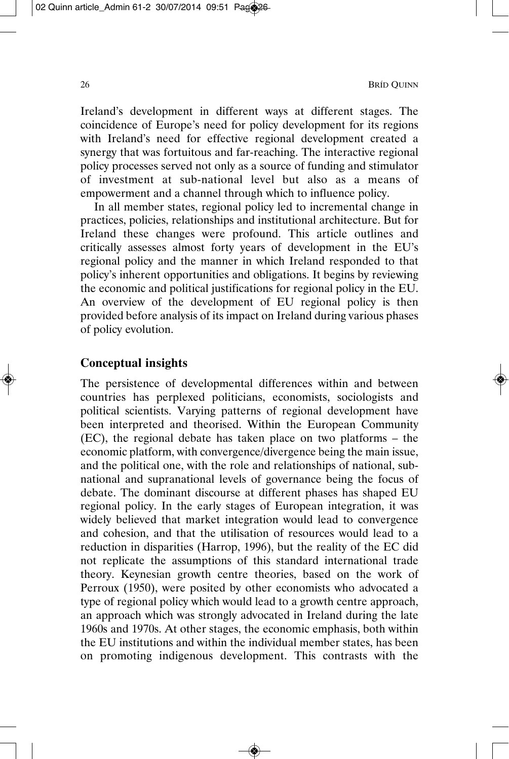Ireland's development in different ways at different stages. The coincidence of Europe's need for policy development for its regions with Ireland's need for effective regional development created a synergy that was fortuitous and far-reaching. The interactive regional policy processes served not only as a source of funding and stimulator of investment at sub-national level but also as a means of empowerment and a channel through which to influence policy.

In all member states, regional policy led to incremental change in practices, policies, relationships and institutional architecture. But for Ireland these changes were profound. This article outlines and critically assesses almost forty years of development in the EU's regional policy and the manner in which Ireland responded to that policy's inherent opportunities and obligations. It begins by reviewing the economic and political justifications for regional policy in the EU. An overview of the development of EU regional policy is then provided before analysis of its impact on Ireland during various phases of policy evolution.

# **Conceptual insights**

The persistence of developmental differences within and between countries has perplexed politicians, economists, sociologists and political scientists. Varying patterns of regional development have been interpreted and theorised. Within the European Community (EC), the regional debate has taken place on two platforms – the economic platform, with convergence/divergence being the main issue, and the political one, with the role and relationships of national, subnational and supranational levels of governance being the focus of debate. The dominant discourse at different phases has shaped EU regional policy. In the early stages of European integration, it was widely believed that market integration would lead to convergence and cohesion, and that the utilisation of resources would lead to a reduction in disparities (Harrop, 1996), but the reality of the EC did not replicate the assumptions of this standard international trade theory. Keynesian growth centre theories, based on the work of Perroux (1950), were posited by other economists who advocated a type of regional policy which would lead to a growth centre approach, an approach which was strongly advocated in Ireland during the late 1960s and 1970s. At other stages, the economic emphasis, both within the EU institutions and within the individual member states, has been on promoting indigenous development. This contrasts with the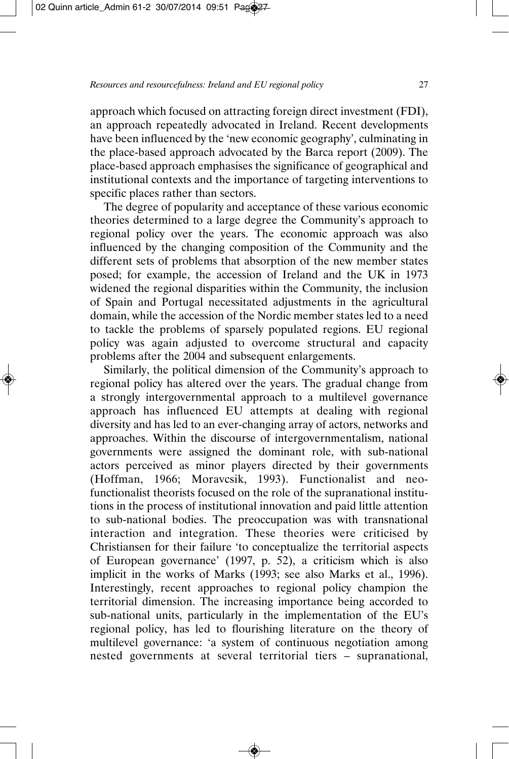approach which focused on attracting foreign direct investment (FDI), an approach repeatedly advocated in Ireland. Recent developments have been influenced by the 'new economic geography', culminating in the place-based approach advocated by the Barca report (2009). The place-based approach emphasises the significance of geographical and institutional contexts and the importance of targeting interventions to specific places rather than sectors.

The degree of popularity and acceptance of these various economic theories determined to a large degree the Community's approach to regional policy over the years. The economic approach was also influenced by the changing composition of the Community and the different sets of problems that absorption of the new member states posed; for example, the accession of Ireland and the UK in 1973 widened the regional disparities within the Community, the inclusion of Spain and Portugal necessitated adjustments in the agricultural domain, while the accession of the Nordic member states led to a need to tackle the problems of sparsely populated regions. EU regional policy was again adjusted to overcome structural and capacity problems after the 2004 and subsequent enlargements.

Similarly, the political dimension of the Community's approach to regional policy has altered over the years. The gradual change from a strongly intergovernmental approach to a multilevel governance approach has influenced EU attempts at dealing with regional diversity and has led to an ever-changing array of actors, networks and approaches. Within the discourse of intergovernmentalism, national governments were assigned the dominant role, with sub-national actors perceived as minor players directed by their governments (Hoffman, 1966; Moravcsik, 1993). Functionalist and neofunctionalist theorists focused on the role of the supranational institutions in the process of institutional innovation and paid little attention to sub-national bodies. The preoccupation was with transnational interaction and integration. These theories were criticised by Christiansen for their failure 'to conceptualize the territorial aspects of European governance' (1997, p. 52), a criticism which is also implicit in the works of Marks (1993; see also Marks et al., 1996). Interestingly, recent approaches to regional policy champion the territorial dimension. The increasing importance being accorded to sub-national units, particularly in the implementation of the EU's regional policy, has led to flourishing literature on the theory of multilevel governance: 'a system of continuous negotiation among nested governments at several territorial tiers – supranational,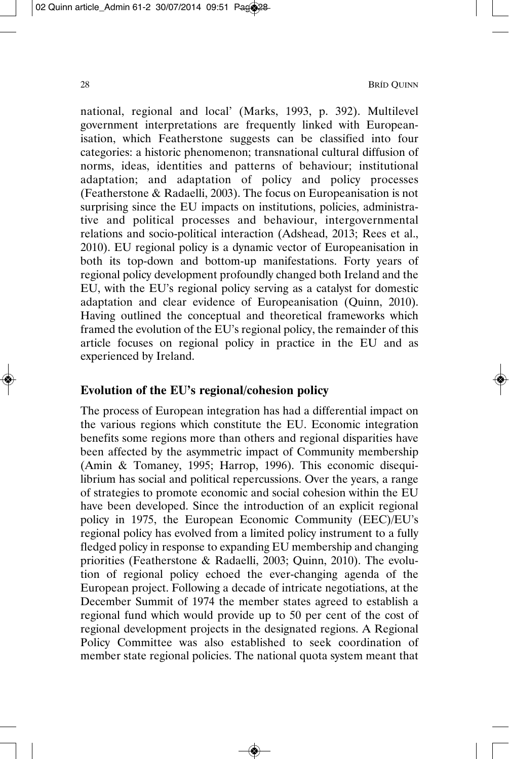national, regional and local' (Marks, 1993, p. 392). Multilevel government interpretations are frequently linked with European isation, which Featherstone suggests can be classified into four categories: a historic phenomenon; transnational cultural diffusion of norms, ideas, identities and patterns of behaviour; institutional adaptation; and adaptation of policy and policy processes (Featherstone & Radaelli, 2003). The focus on Europeanisation is not surprising since the EU impacts on institutions, policies, administrative and political processes and behaviour, intergovernmental relations and socio-political interaction (Adshead, 2013; Rees et al., 2010). EU regional policy is a dynamic vector of Europeanisation in both its top-down and bottom-up manifestations. Forty years of regional policy development profoundly changed both Ireland and the EU, with the EU's regional policy serving as a catalyst for domestic adaptation and clear evidence of Europeanisation (Quinn, 2010). Having outlined the conceptual and theoretical frameworks which framed the evolution of the EU's regional policy, the remainder of this article focuses on regional policy in practice in the EU and as experienced by Ireland.

# **Evolution of the EU's regional/cohesion policy**

The process of European integration has had a differential impact on the various regions which constitute the EU. Economic integration benefits some regions more than others and regional disparities have been affected by the asymmetric impact of Community membership (Amin & Tomaney, 1995; Harrop, 1996). This economic disequi librium has social and political repercussions. Over the years, a range of strategies to promote economic and social cohesion within the EU have been developed. Since the introduction of an explicit regional policy in 1975, the European Economic Community (EEC)/EU's regional policy has evolved from a limited policy instrument to a fully fledged policy in response to expanding EU membership and changing priorities (Featherstone & Radaelli, 2003; Quinn, 2010). The evolution of regional policy echoed the ever-changing agenda of the European project. Following a decade of intricate negotiations, at the December Summit of 1974 the member states agreed to establish a regional fund which would provide up to 50 per cent of the cost of regional development projects in the designated regions. A Regional Policy Committee was also established to seek coordination of member state regional policies. The national quota system meant that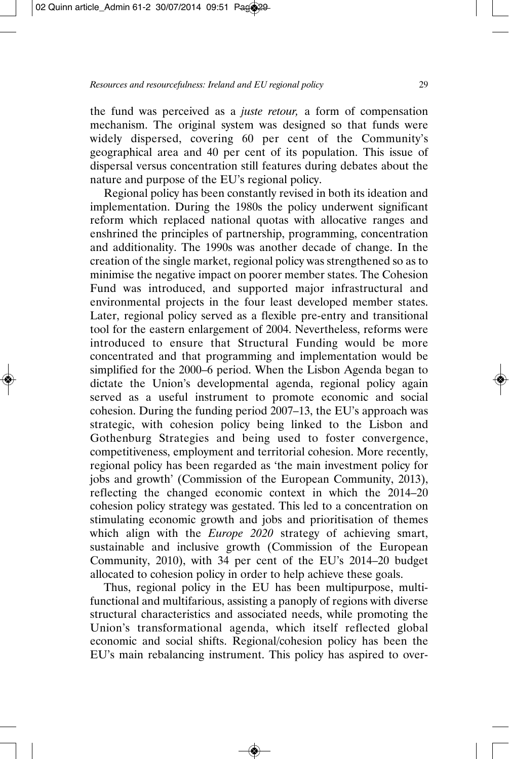the fund was perceived as a *juste retour,* a form of compensation mechanism. The original system was designed so that funds were widely dispersed, covering 60 per cent of the Community's geographical area and 40 per cent of its population. This issue of dispersal versus concentration still features during debates about the nature and purpose of the EU's regional policy.

Regional policy has been constantly revised in both its ideation and implementation. During the 1980s the policy underwent significant reform which replaced national quotas with allocative ranges and enshrined the principles of partnership, programming, concentration and additionality. The 1990s was another decade of change. In the creation of the single market, regional policy was strengthened so as to minimise the negative impact on poorer member states. The Cohesion Fund was introduced, and supported major infrastructural and environ mental projects in the four least developed member states. Later, regional policy served as a flexible pre-entry and transitional tool for the eastern enlargement of 2004. Nevertheless, reforms were introduced to ensure that Structural Funding would be more concentrated and that programming and implementation would be simplified for the 2000–6 period. When the Lisbon Agenda began to dictate the Union's developmental agenda, regional policy again served as a useful instrument to promote economic and social cohesion. During the funding period 2007–13, the EU's approach was strategic, with cohesion policy being linked to the Lisbon and Gothenburg Strategies and being used to foster convergence, competitiveness, employment and territorial cohesion. More recently, regional policy has been regarded as 'the main investment policy for jobs and growth' (Commission of the European Community, 2013), reflecting the changed economic context in which the 2014–20 cohesion policy strategy was gestated. This led to a concentration on stimulating economic growth and jobs and prioritisation of themes which align with the *Europe 2020* strategy of achieving smart, sustainable and inclusive growth (Commission of the European Community, 2010), with 34 per cent of the EU's 2014–20 budget allocated to cohesion policy in order to help achieve these goals.

Thus, regional policy in the EU has been multipurpose, multifunctional and multifarious, assisting a panoply of regions with diverse structural characteristics and associated needs, while promoting the Union's transformational agenda, which itself reflected global economic and social shifts. Regional/cohesion policy has been the EU's main rebalancing instrument. This policy has aspired to over -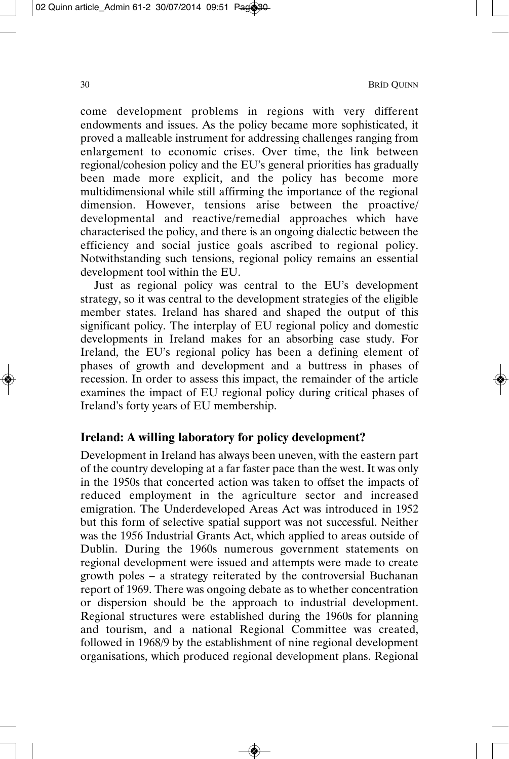come development problems in regions with very different endowments and issues. As the policy became more sophisticated, it proved a malleable instrument for addressing challenges ranging from enlargement to economic crises. Over time, the link between regional/cohesion policy and the EU's general priorities has gradually been made more explicit, and the policy has become more multidimensional while still affirming the importance of the regional dimension. However, tensions arise between the proactive/ developmental and reactive/remedial approaches which have characterised the policy, and there is an ongoing dialectic between the efficiency and social justice goals ascribed to regional policy. Notwithstanding such tensions, regional policy remains an essential development tool within the EU.

Just as regional policy was central to the EU's development strategy, so it was central to the development strategies of the eligible member states. Ireland has shared and shaped the output of this significant policy. The interplay of EU regional policy and domestic developments in Ireland makes for an absorbing case study. For Ireland, the EU's regional policy has been a defining element of phases of growth and development and a buttress in phases of recession. In order to assess this impact, the remainder of the article examines the impact of EU regional policy during critical phases of Ireland's forty years of EU membership.

## **Ireland: A willing laboratory for policy development?**

Development in Ireland has always been uneven, with the eastern part of the country developing at a far faster pace than the west. It was only in the 1950s that concerted action was taken to offset the impacts of reduced employment in the agriculture sector and increased emigration. The Underdeveloped Areas Act was introduced in 1952 but this form of selective spatial support was not successful. Neither was the 1956 Industrial Grants Act, which applied to areas outside of Dublin. During the 1960s numerous government statements on regional development were issued and attempts were made to create growth poles – a strategy reiterated by the controversial Buchanan report of 1969. There was ongoing debate as to whether concentration or dispersion should be the approach to industrial development. Regional structures were established during the 1960s for planning and tourism, and a national Regional Committee was created, followed in 1968/9 by the establishment of nine regional development organisations, which produced regional development plans. Regional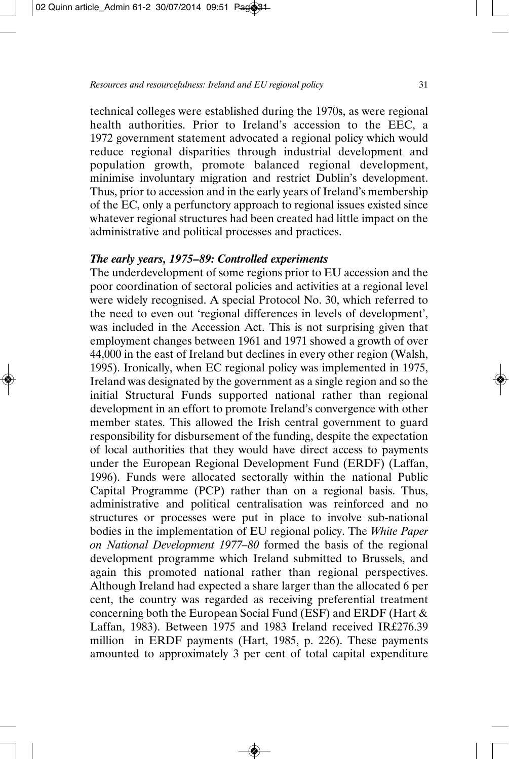technical colleges were established during the 1970s, as were regional health authorities. Prior to Ireland's accession to the EEC, a 1972 government statement advocated a regional policy which would reduce regional disparities through industrial development and population growth, promote balanced regional development, minimise involuntary migration and restrict Dublin's development. Thus, prior to accession and in the early years of Ireland's membership of the EC, only a perfunctory approach to regional issues existed since whatever regional structures had been created had little impact on the administrative and political processes and practices.

# *The early years, 1975–89: Controlled experiments*

The underdevelopment of some regions prior to EU accession and the poor coordination of sectoral policies and activities at a regional level were widely recognised. A special Protocol No. 30, which referred to the need to even out 'regional differences in levels of development', was included in the Accession Act. This is not surprising given that employment changes between 1961 and 1971 showed a growth of over 44,000 in the east of Ireland but declines in every other region (Walsh, 1995). Ironically, when EC regional policy was implemented in 1975, Ireland was designated by the government as a single region and so the initial Structural Funds supported national rather than regional development in an effort to promote Ireland's convergence with other member states. This allowed the Irish central government to guard responsibility for disbursement of the funding, despite the expectation of local authorities that they would have direct access to payments under the European Regional Development Fund (ERDF) (Laffan, 1996). Funds were allocated sectorally within the national Public Capital Programme (PCP) rather than on a regional basis. Thus, administrative and political centralisation was reinforced and no structures or processes were put in place to involve sub-national bodies in the implementation of EU regional policy. The *White Paper on National Development 1977–80* formed the basis of the regional development programme which Ireland submitted to Brussels, and again this promoted national rather than regional perspectives. Although Ireland had expected a share larger than the allocated 6 per cent, the country was regarded as receiving preferential treatment concerning both the European Social Fund (ESF) and ERDF (Hart & Laffan, 1983). Between 1975 and 1983 Ireland received IR£276.39 million in ERDF payments (Hart, 1985, p. 226). These payments amounted to approximately 3 per cent of total capital expenditure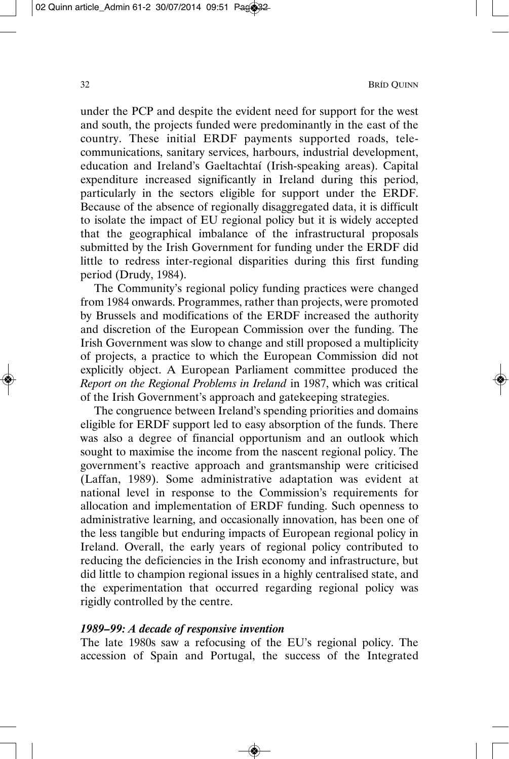under the PCP and despite the evident need for support for the west and south, the projects funded were predominantly in the east of the country. These initial ERDF payments supported roads, telecommunications, sanitary services, harbours, industrial development, education and Ireland's Gaeltachtaí (Irish-speaking areas). Capital expenditure increased significantly in Ireland during this period, particularly in the sectors eligible for support under the ERDF. Because of the absence of regionally disaggregated data, it is difficult to isolate the impact of EU regional policy but it is widely accepted that the geographical imbalance of the infrastructural proposals submitted by the Irish Government for funding under the ERDF did little to redress inter-regional disparities during this first funding period (Drudy, 1984).

The Community's regional policy funding practices were changed from 1984 onwards. Programmes, rather than projects, were promoted by Brussels and modifications of the ERDF increased the authority and discretion of the European Commission over the funding. The Irish Government was slow to change and still proposed a multiplicity of projects, a practice to which the European Commission did not explicitly object. A European Parliament committee produced the *Report on the Regional Problems in Ireland* in 1987, which was critical of the Irish Government's approach and gatekeeping strategies.

The congruence between Ireland's spending priorities and domains eligible for ERDF support led to easy absorption of the funds. There was also a degree of financial opportunism and an outlook which sought to maximise the income from the nascent regional policy. The government's reactive approach and grantsmanship were criticised (Laffan, 1989). Some administrative adaptation was evident at national level in response to the Commission's requirements for allocation and implementation of ERDF funding. Such openness to administrative learning, and occasionally innovation, has been one of the less tangible but enduring impacts of European regional policy in Ireland. Overall, the early years of regional policy contributed to reducing the deficiencies in the Irish economy and infrastructure, but did little to champion regional issues in a highly centralised state, and the experimentation that occurred regarding regional policy was rigidly controlled by the centre.

## *1989–99: A decade of responsive invention*

The late 1980s saw a refocusing of the EU's regional policy. The accession of Spain and Portugal, the success of the Integrated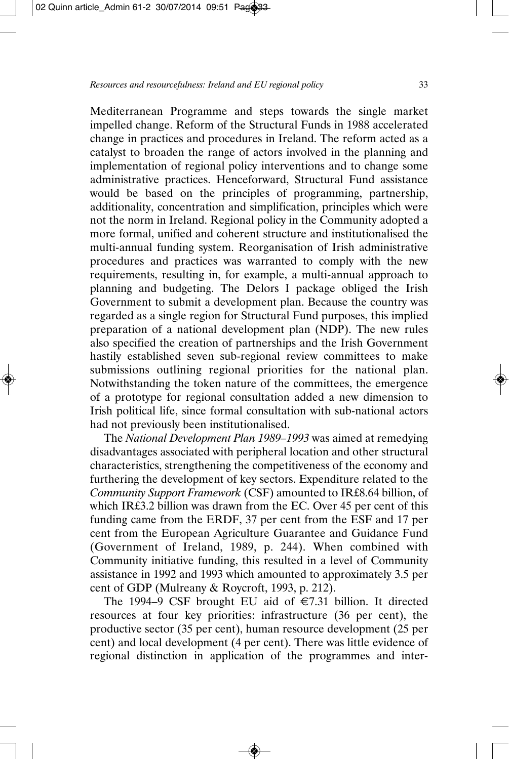Mediterranean Programme and steps towards the single market impelled change. Reform of the Structural Funds in 1988 accelerated change in practices and procedures in Ireland. The reform acted as a catalyst to broaden the range of actors involved in the planning and implementation of regional policy interventions and to change some administrative practices. Henceforward, Structural Fund assistance would be based on the principles of programming, partnership, additionality, concentration and simplification, principles which were not the norm in Ireland. Regional policy in the Community adopted a more formal, unified and coherent structure and institutionalised the multi-annual funding system. Reorganisation of Irish administrative procedures and practices was warranted to comply with the new requirements, resulting in, for example, a multi-annual approach to planning and budgeting. The Delors I package obliged the Irish Government to submit a development plan. Because the country was regarded as a single region for Structural Fund purposes, this implied preparation of a national development plan (NDP). The new rules also specified the creation of partnerships and the Irish Government hastily established seven sub-regional review committees to make submissions outlining regional priorities for the national plan. Notwithstanding the token nature of the committees, the emergence of a prototype for regional consultation added a new dimension to Irish political life, since formal consultation with sub-national actors had not previously been institutionalised.

The *National Development Plan 1989–1993* was aimed at remedying disadvantages associated with peripheral location and other structural characteristics, strengthening the competitiveness of the economy and furthering the development of key sectors. Expenditure related to the *Community Support Framework* (CSF) amounted to IR£8.64 billion, of which IR£3.2 billion was drawn from the EC. Over 45 per cent of this funding came from the ERDF, 37 per cent from the ESF and 17 per cent from the European Agriculture Guarantee and Guidance Fund (Government of Ireland, 1989, p. 244). When combined with Community initiative funding, this resulted in a level of Community assistance in 1992 and 1993 which amounted to approximately 3.5 per cent of GDP (Mulreany & Roycroft, 1993, p. 212).

The 1994–9 CSF brought EU aid of  $\epsilon$ 7.31 billion. It directed resources at four key priorities: infrastructure (36 per cent), the productive sector (35 per cent), human resource development (25 per cent) and local development (4 per cent). There was little evidence of regional distinction in application of the programmes and inter-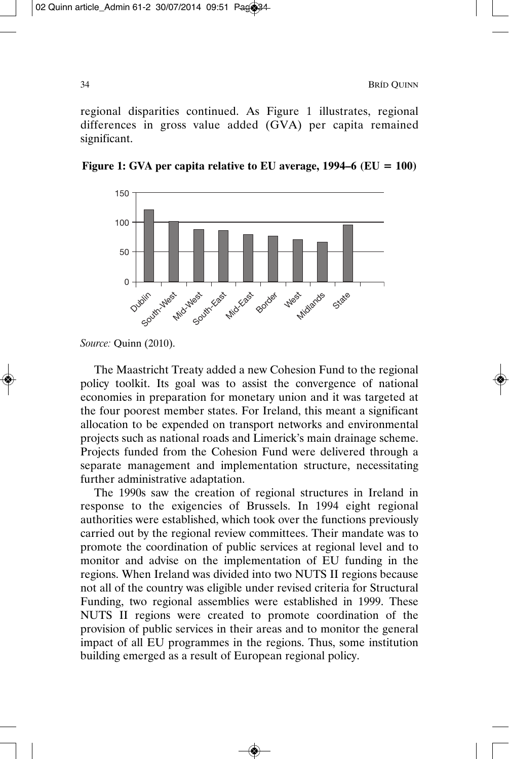regional disparities continued. As Figure 1 illustrates, regional differences in gross value added (GVA) per capita remained significant.





The Maastricht Treaty added a new Cohesion Fund to the regional policy toolkit. Its goal was to assist the convergence of national economies in preparation for monetary union and it was targeted at the four poorest member states. For Ireland, this meant a significant allocation to be expended on transport networks and environmental projects such as national roads and Limerick's main drainage scheme. Projects funded from the Cohesion Fund were delivered through a separate management and implementation structure, necessitating further administrative adaptation.

The 1990s saw the creation of regional structures in Ireland in response to the exigencies of Brussels. In 1994 eight regional authorities were established, which took over the functions previously carried out by the regional review committees. Their mandate was to promote the coordination of public services at regional level and to monitor and advise on the implementation of EU funding in the regions. When Ireland was divided into two NUTS II regions because not all of the country was eligible under revised criteria for Structural Funding, two regional assemblies were established in 1999. These NUTS II regions were created to promote coordination of the provision of public services in their areas and to monitor the general impact of all EU programmes in the regions. Thus, some institution building emerged as a result of European regional policy.

*Source:* Quinn (2010).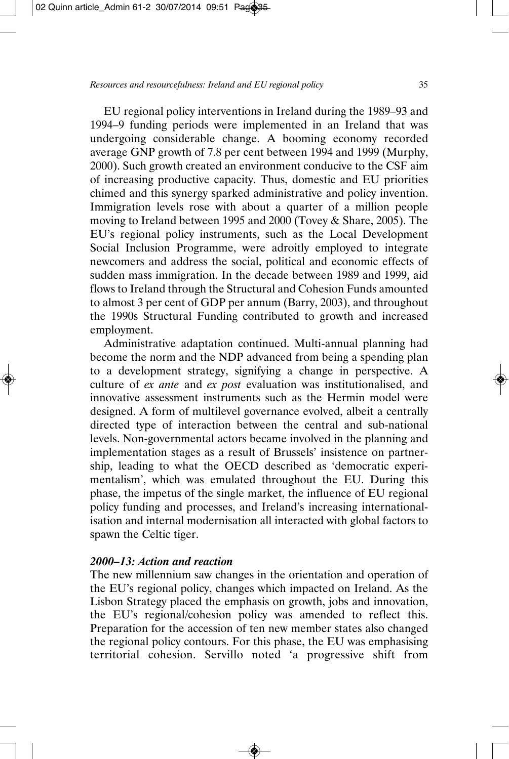EU regional policy interventions in Ireland during the 1989–93 and 1994–9 funding periods were implemented in an Ireland that was undergoing considerable change. A booming economy recorded average GNP growth of 7.8 per cent between 1994 and 1999 (Murphy, 2000). Such growth created an environment conducive to the CSF aim of increasing productive capacity. Thus, domestic and EU priorities chimed and this synergy sparked administrative and policy invention. Immigration levels rose with about a quarter of a million people moving to Ireland between 1995 and 2000 (Tovey & Share, 2005). The EU's regional policy instruments, such as the Local Development Social Inclusion Programme, were adroitly employed to integrate newcomers and address the social, political and economic effects of sudden mass immigration. In the decade between 1989 and 1999, aid flows to Ireland through the Structural and Cohesion Funds amounted to almost 3 per cent of GDP per annum (Barry, 2003), and throughout the 1990s Structural Funding contributed to growth and increased employment.

Administrative adaptation continued. Multi-annual planning had become the norm and the NDP advanced from being a spending plan to a development strategy, signifying a change in perspective. A culture of *ex ante* and *ex post* evaluation was institutionalised, and innovative assessment instruments such as the Hermin model were designed. A form of multilevel governance evolved, albeit a centrally directed type of interaction between the central and sub-national levels. Non-governmental actors became involved in the planning and implementation stages as a result of Brussels' insistence on partner ship, leading to what the OECD described as 'democratic experimentalism', which was emulated throughout the EU. During this phase, the impetus of the single market, the influence of EU regional policy funding and processes, and Ireland's increasing international isation and internal modernisation all interacted with global factors to spawn the Celtic tiger.

## *2000–13: Action and reaction*

The new millennium saw changes in the orientation and operation of the EU's regional policy, changes which impacted on Ireland. As the Lisbon Strategy placed the emphasis on growth, jobs and innovation, the EU's regional/cohesion policy was amended to reflect this. Preparation for the accession of ten new member states also changed the regional policy contours. For this phase, the EU was emphasising territorial cohesion. Servillo noted 'a progressive shift from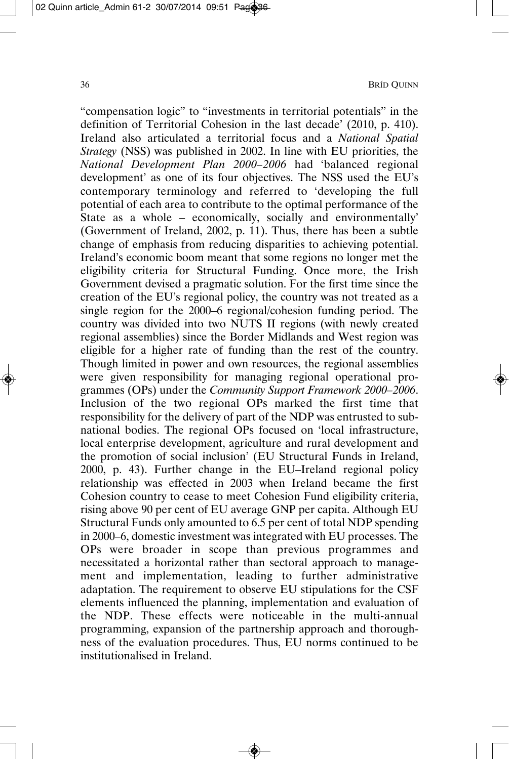"compensation logic" to "investments in territorial potentials" in the definition of Territorial Cohesion in the last decade' (2010, p. 410). Ireland also articulated a territorial focus and a *National Spatial Strategy* (NSS) was published in 2002. In line with EU priorities, the *National Development Plan 2000–2006* had 'balanced regional development' as one of its four objectives. The NSS used the EU's contemporary terminology and referred to 'developing the full potential of each area to contribute to the optimal performance of the State as a whole – economically, socially and environmentally' (Government of Ireland, 2002, p. 11). Thus, there has been a subtle change of emphasis from reducing disparities to achieving potential. Ireland's economic boom meant that some regions no longer met the eligibility criteria for Structural Funding. Once more, the Irish Government devised a pragmatic solution. For the first time since the creation of the EU's regional policy, the country was not treated as a single region for the 2000–6 regional/cohesion funding period. The country was divided into two NUTS II regions (with newly created regional assemblies) since the Border Midlands and West region was eligible for a higher rate of funding than the rest of the country. Though limited in power and own resources, the regional assemblies were given responsibility for managing regional operational programmes (OPs) under the *Community Support Framework 2000–2006*. Inclusion of the two regional OPs marked the first time that responsibility for the delivery of part of the NDP was entrusted to subnational bodies. The regional OPs focused on 'local infrastructure, local enterprise development, agriculture and rural development and the promotion of social inclusion' (EU Structural Funds in Ireland, 2000, p. 43). Further change in the EU–Ireland regional policy relation ship was effected in 2003 when Ireland became the first Cohesion country to cease to meet Cohesion Fund eligibility criteria, rising above 90 per cent of EU average GNP per capita. Although EU Structural Funds only amounted to 6.5 per cent of total NDP spending in 2000–6, domestic investment was integrated with EU processes. The OPs were broader in scope than previous programmes and necessitated a horizontal rather than sectoral approach to manage ment and implementation, leading to further administrative adaptation. The requirement to observe EU stipulations for the CSF elements influenced the planning, implementation and evaluation of the NDP. These effects were noticeable in the multi-annual programming, expansion of the partnership approach and thoroughness of the evaluation procedures. Thus, EU norms continued to be institutionalised in Ireland.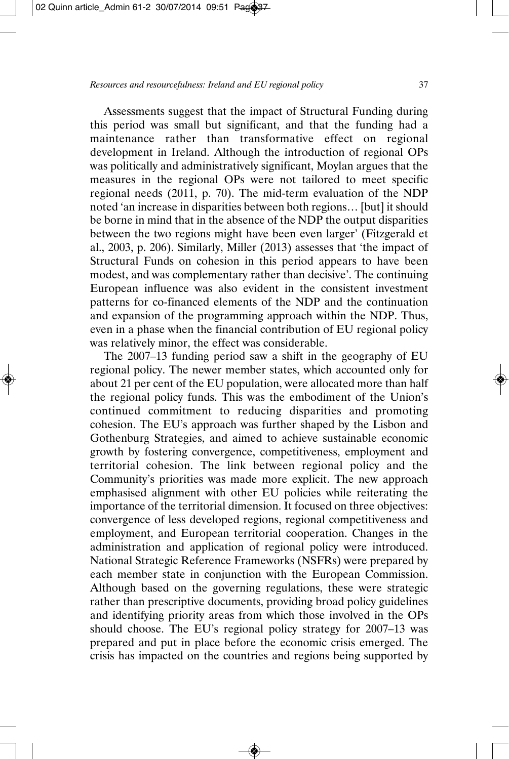Assessments suggest that the impact of Structural Funding during this period was small but significant, and that the funding had a maintenance rather than transformative effect on regional development in Ireland. Although the introduction of regional OPs was politically and administratively significant, Moylan argues that the measures in the regional OPs were not tailored to meet specific regional needs (2011, p. 70). The mid-term evaluation of the NDP noted 'an increase in disparities between both regions… [but] it should be borne in mind that in the absence of the NDP the output disparities between the two regions might have been even larger' (Fitzgerald et al., 2003, p. 206). Similarly, Miller (2013) assesses that 'the impact of Structural Funds on cohesion in this period appears to have been modest, and was complementary rather than decisive'. The continuing European influence was also evident in the consistent investment patterns for co-financed elements of the NDP and the continuation and expansion of the programming approach within the NDP. Thus, even in a phase when the financial contribution of EU regional policy was relatively minor, the effect was considerable.

The 2007–13 funding period saw a shift in the geography of EU regional policy. The newer member states, which accounted only for about 21 per cent of the EU population, were allocated more than half the regional policy funds. This was the embodiment of the Union's continued commitment to reducing disparities and promoting cohesion. The EU's approach was further shaped by the Lisbon and Gothenburg Strategies, and aimed to achieve sustainable economic growth by fostering convergence, competitiveness, employment and territorial cohesion. The link between regional policy and the Community's priorities was made more explicit. The new approach emphasised alignment with other EU policies while reiterating the importance of the territorial dimension. It focused on three objectives: convergence of less developed regions, regional competitiveness and employment, and European territorial cooperation. Changes in the administration and application of regional policy were introduced. National Strategic Reference Frameworks (NSFRs) were prepared by each member state in conjunction with the European Commission. Although based on the governing regulations, these were strategic rather than prescriptive documents, providing broad policy guidelines and identifying priority areas from which those involved in the OPs should choose. The EU's regional policy strategy for 2007–13 was prepared and put in place before the economic crisis emerged. The crisis has impacted on the countries and regions being supported by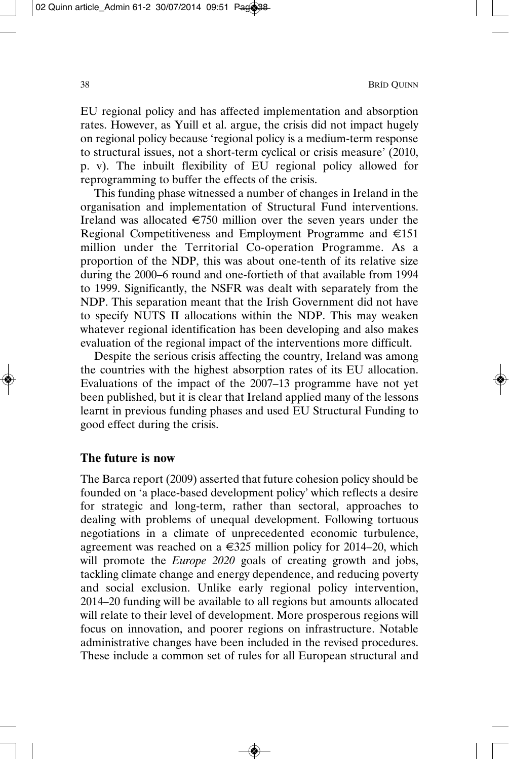EU regional policy and has affected implementation and absorption rates. However, as Yuill et al. argue, the crisis did not impact hugely on regional policy because 'regional policy is a medium-term response to structural issues, not a short-term cyclical or crisis measure' (2010, p. v). The inbuilt flexibility of EU regional policy allowed for reprogramming to buffer the effects of the crisis.

This funding phase witnessed a number of changes in Ireland in the organisation and implementation of Structural Fund interventions. Ireland was allocated  $\epsilon$ 750 million over the seven years under the Regional Competitiveness and Employment Programme and €151 million under the Territorial Co-operation Programme. As a proportion of the NDP, this was about one-tenth of its relative size during the 2000–6 round and one-fortieth of that available from 1994 to 1999. Significantly, the NSFR was dealt with separately from the NDP. This separation meant that the Irish Government did not have to specify NUTS II allocations within the NDP. This may weaken whatever regional identification has been developing and also makes evaluation of the regional impact of the interventions more difficult.

Despite the serious crisis affecting the country, Ireland was among the countries with the highest absorption rates of its EU allocation. Evaluations of the impact of the 2007–13 programme have not yet been published, but it is clear that Ireland applied many of the lessons learnt in previous funding phases and used EU Structural Funding to good effect during the crisis.

## **The future is now**

The Barca report (2009) asserted that future cohesion policy should be founded on 'a place-based development policy' which reflects a desire for strategic and long-term, rather than sectoral, approaches to dealing with problems of unequal development. Following tortuous negotiations in a climate of unprecedented economic turbulence, agreement was reached on a  $\epsilon$ 325 million policy for 2014–20, which will promote the *Europe 2020* goals of creating growth and jobs, tackling climate change and energy dependence, and reducing poverty and social exclusion. Unlike early regional policy intervention, 2014–20 funding will be available to all regions but amounts allocated will relate to their level of development. More prosperous regions will focus on innovation, and poorer regions on infrastructure. Notable administrative changes have been included in the revised procedures. These include a common set of rules for all European structural and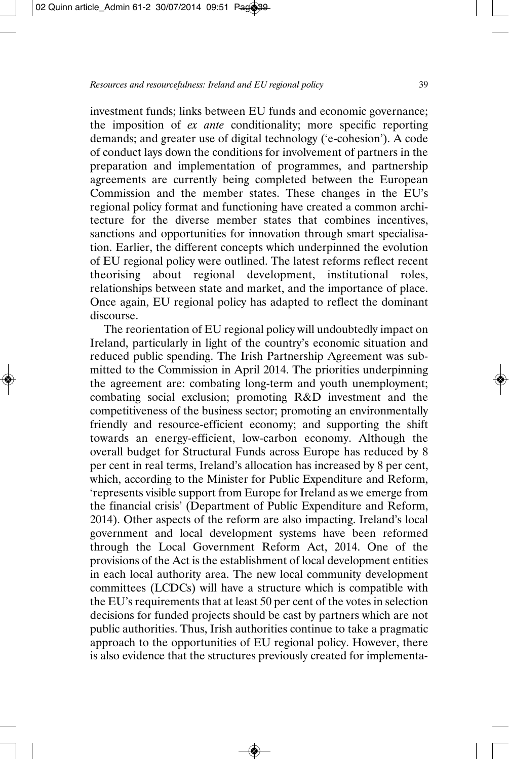investment funds; links between EU funds and economic governance; the imposition of *ex ante* conditionality; more specific reporting demands; and greater use of digital technology ('e-cohesion'). A code of conduct lays down the conditions for involvement of partners in the preparation and implementation of programmes, and partnership agreements are currently being completed between the European Commission and the member states. These changes in the EU's regional policy format and functioning have created a common architecture for the diverse member states that combines incentives, sanctions and opportunities for innovation through smart specialisation. Earlier, the different concepts which underpinned the evolution of EU regional policy were outlined. The latest reforms reflect recent theorising about regional development, institutional roles, relationships between state and market, and the importance of place. Once again, EU regional policy has adapted to reflect the dominant discourse.

The reorientation of EU regional policy will undoubtedly impact on Ireland, particularly in light of the country's economic situation and reduced public spending. The Irish Partnership Agreement was sub mitted to the Commission in April 2014. The priorities underpinning the agreement are: combating long-term and youth unemployment; combating social exclusion; promoting R&D investment and the competitiveness of the business sector; promoting an environmentally friendly and resource-efficient economy; and supporting the shift towards an energy-efficient, low-carbon economy. Although the overall budget for Structural Funds across Europe has reduced by 8 per cent in real terms, Ireland's allocation has increased by 8 per cent, which, according to the Minister for Public Expenditure and Reform, 'represents visible support from Europe for Ireland as we emerge from the financial crisis' (Department of Public Expenditure and Reform, 2014). Other aspects of the reform are also impacting. Ireland's local government and local development systems have been reformed through the Local Government Reform Act, 2014. One of the provisions of the Act is the establishment of local development entities in each local authority area. The new local community development committees (LCDCs) will have a structure which is compatible with the EU's requirements that at least 50 per cent of the votes in selection decisions for funded projects should be cast by partners which are not public authorities. Thus, Irish authorities continue to take a pragmatic approach to the opportunities of EU regional policy. However, there is also evidence that the structures previously created for implementa -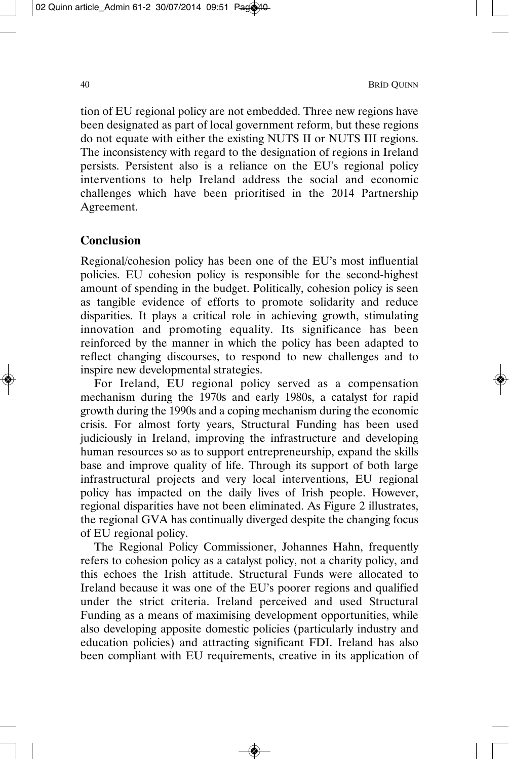tion of EU regional policy are not embedded. Three new regions have been designated as part of local government reform, but these regions do not equate with either the existing NUTS II or NUTS III regions. The inconsistency with regard to the designation of regions in Ireland persists. Persistent also is a reliance on the EU's regional policy interventions to help Ireland address the social and economic challenges which have been prioritised in the 2014 Partnership Agreement.

## **Conclusion**

Regional/cohesion policy has been one of the EU's most influential policies. EU cohesion policy is responsible for the second-highest amount of spending in the budget. Politically, cohesion policy is seen as tangible evidence of efforts to promote solidarity and reduce disparities. It plays a critical role in achieving growth, stimulating innovation and promoting equality. Its significance has been reinforced by the manner in which the policy has been adapted to reflect changing discourses, to respond to new challenges and to inspire new developmental strategies.

For Ireland, EU regional policy served as a compensation mechanism during the 1970s and early 1980s, a catalyst for rapid growth during the 1990s and a coping mechanism during the economic crisis. For almost forty years, Structural Funding has been used judiciously in Ireland, improving the infrastructure and developing human resources so as to support entrepreneurship, expand the skills base and improve quality of life. Through its support of both large infrastructural projects and very local interventions, EU regional policy has impacted on the daily lives of Irish people. However, regional disparities have not been eliminated. As Figure 2 illustrates, the regional GVA has continually diverged despite the changing focus of EU regional policy.

The Regional Policy Commissioner, Johannes Hahn, frequently refers to cohesion policy as a catalyst policy, not a charity policy, and this echoes the Irish attitude. Structural Funds were allocated to Ireland because it was one of the EU's poorer regions and qualified under the strict criteria. Ireland perceived and used Structural Funding as a means of maximising development opportunities, while also developing apposite domestic policies (particularly industry and education policies) and attracting significant FDI. Ireland has also been compliant with EU requirements, creative in its application of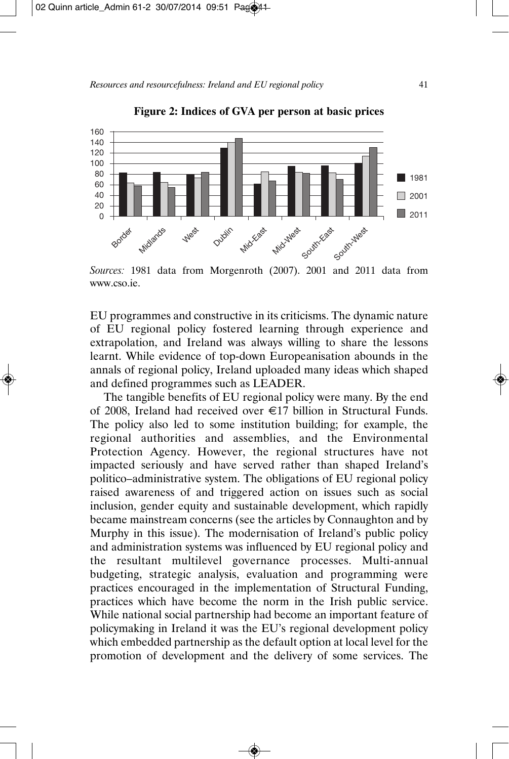

**Figure 2: Indices of GVA per person at basic prices**

EU programmes and constructive in its criticisms. The dynamic nature of EU regional policy fostered learning through experience and extrapolation, and Ireland was always willing to share the lessons learnt. While evidence of top-down Europeanisation abounds in the annals of regional policy, Ireland uploaded many ideas which shaped and defined programmes such as LEADER.

The tangible benefits of EU regional policy were many. By the end of 2008, Ireland had received over €17 billion in Structural Funds. The policy also led to some institution building; for example, the regional authorities and assemblies, and the Environmental Protection Agency. However, the regional structures have not impacted seriously and have served rather than shaped Ireland's politico–administrative system. The obligations of EU regional policy raised awareness of and triggered action on issues such as social inclusion, gender equity and sustainable development, which rapidly became mainstream concerns (see the articles by Connaughton and by Murphy in this issue). The modernisation of Ireland's public policy and administration systems was influenced by EU regional policy and the resultant multilevel governance processes. Multi-annual budgeting, strategic analysis, evaluation and programming were practices encouraged in the implementation of Structural Funding, practices which have become the norm in the Irish public service. While national social partnership had become an important feature of policymaking in Ireland it was the EU's regional development policy which embedded partnership as the default option at local level for the promotion of development and the delivery of some services. The

*Sources:* 1981 data from Morgenroth (2007). 2001 and 2011 data from www.cso.ie.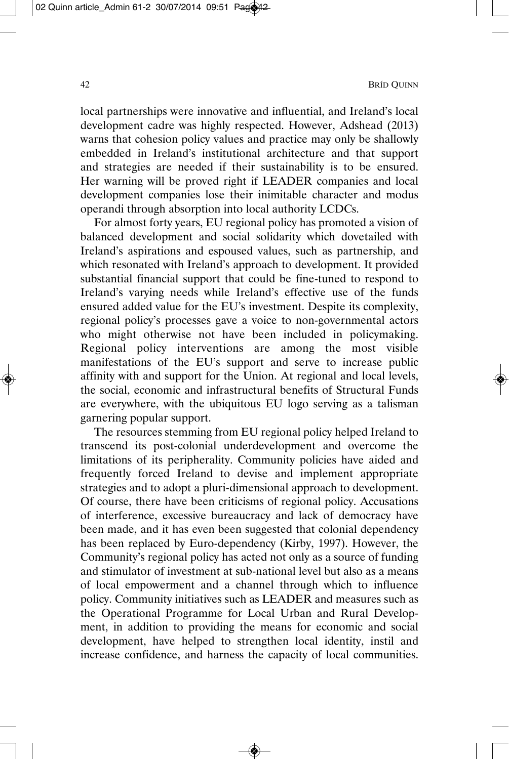local partnerships were innovative and influential, and Ireland's local development cadre was highly respected. However, Adshead (2013) warns that cohesion policy values and practice may only be shallowly embedded in Ireland's institutional architecture and that support and strategies are needed if their sustainability is to be ensured. Her warning will be proved right if LEADER companies and local development companies lose their inimitable character and modus operandi through absorption into local authority LCDCs.

For almost forty years, EU regional policy has promoted a vision of balanced development and social solidarity which dovetailed with Ireland's aspirations and espoused values, such as partnership, and which resonated with Ireland's approach to development. It provided substantial financial support that could be fine-tuned to respond to Ireland's varying needs while Ireland's effective use of the funds ensured added value for the EU's investment. Despite its complexity, regional policy's processes gave a voice to non-governmental actors who might otherwise not have been included in policymaking. Regional policy interventions are among the most visible manifestations of the EU's support and serve to increase public affinity with and support for the Union. At regional and local levels, the social, economic and infrastructural benefits of Structural Funds are everywhere, with the ubiquitous EU logo serving as a talisman garnering popular support.

The resources stemming from EU regional policy helped Ireland to transcend its post-colonial underdevelopment and overcome the limitations of its peripherality. Community policies have aided and frequently forced Ireland to devise and implement appropriate strategies and to adopt a pluri-dimensional approach to development. Of course, there have been criticisms of regional policy. Accusations of interference, excessive bureaucracy and lack of democracy have been made, and it has even been suggested that colonial dependency has been replaced by Euro-dependency (Kirby, 1997). However, the Community's regional policy has acted not only as a source of funding and stimulator of investment at sub-national level but also as a means of local empowerment and a channel through which to influence policy. Community initiatives such as LEADER and measures such as the Operational Programme for Local Urban and Rural Development, in addition to providing the means for economic and social development, have helped to strengthen local identity, instil and increase confidence, and harness the capacity of local communities.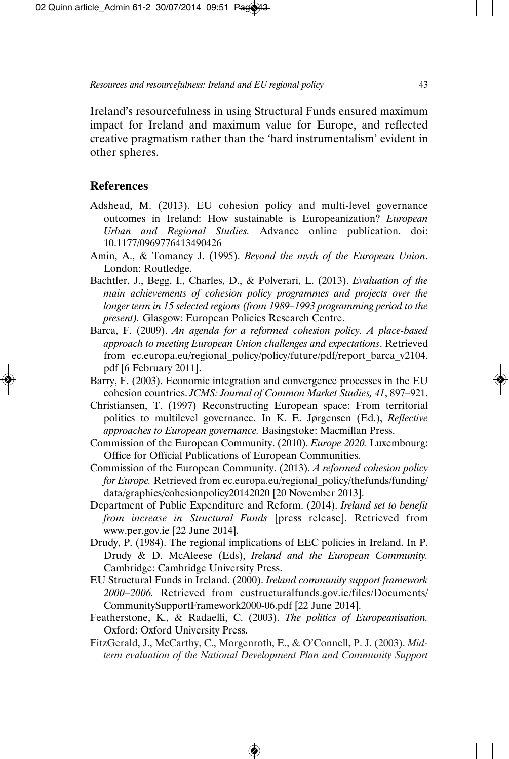Ireland's resourcefulness in using Structural Funds ensured maximum impact for Ireland and maximum value for Europe, and reflected creative pragmatism rather than the 'hard instrumentalism' evident in other spheres.

# **References**

- Adshead, M. (2013). EU cohesion policy and multi-level governance outcomes in Ireland: How sustainable is Europeanization? *European Urban and Regional Studies.* Advance online publication. doi: 10.1177/0969776413490426
- Amin, A., & Tomaney J. (1995). *Beyond the myth of the European Union*. London: Routledge.
- Bachtler, J., Begg, I., Charles, D., & Polverari, L. (2013). *Evaluation of the main achievements of cohesion policy programmes and projects over the longer term in 15 selected regions (from 1989–1993 programming period to the present).* Glasgow: European Policies Research Centre.
- Barca, F. (2009). *An agenda for a reformed cohesion policy. A place-based approach to meeting European Union challenges and expectations*. Retrieved from ec.europa.eu/regional policy/policy/future/pdf/report barca v2104. pdf [6 February 2011].
- Barry, F. (2003). Economic integration and convergence processes in the EU cohesion countries. *JCMS: Journal of Common Market Studies, 41*, 897–921.
- Christiansen, T. (1997) Reconstructing European space: From territorial politics to multilevel governance. In K. E. Jørgensen (Ed.), *Reflective approaches to European governance.* Basingstoke: Macmillan Press.
- Commission of the European Community. (2010). *Europe 2020.* Luxembourg: Office for Official Publications of European Communities.
- Commission of the European Community. (2013). *A reformed cohesion policy for Europe.* Retrieved from ec.europa.eu/regional policy/thefunds/funding/ data/graphics/cohesionpolicy20142020 [20 November 2013].
- Department of Public Expenditure and Reform. (2014). *Ireland set to benefit from increase in Structural Funds* [press release]. Retrieved from www.per.gov.ie [22 June 2014].
- Drudy, P. (1984). The regional implications of EEC policies in Ireland. In P. Drudy & D. McAleese (Eds), *Ireland and the European Community.* Cambridge: Cambridge University Press.
- EU Structural Funds in Ireland. (2000). *Ireland community support framework 2000–2006.* Retrieved from eustructuralfunds.gov.ie/files/Documents/ CommunitySupportFramework2000-06.pdf [22 June 2014].
- Featherstone, K., & Radaelli, C. (2003). *The politics of Europeanisation.* Oxford: Oxford University Press.
- FitzGerald, J., McCarthy, C., Morgenroth, E., & O'Connell, P. J. (2003). *Midterm evaluation of the National Development Plan and Community Support*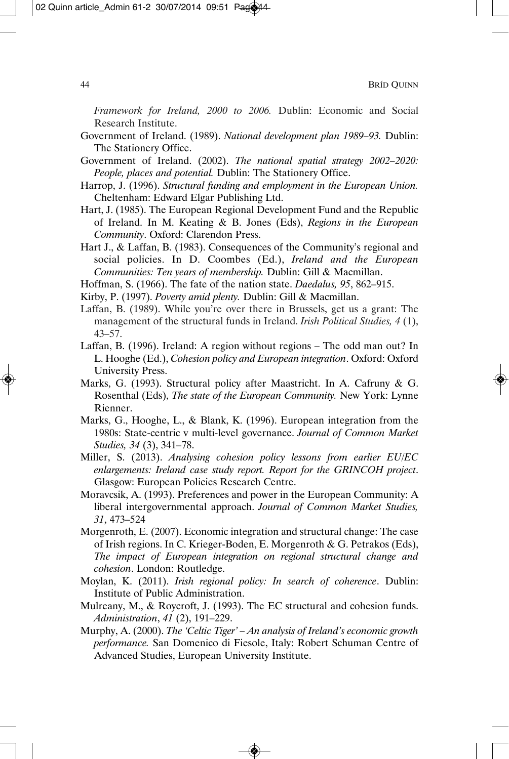*Framework for Ireland, 2000 to 2006.* Dublin: Economic and Social Research Institute.

- Government of Ireland. (1989). *National development plan 1989–93.* Dublin: The Stationery Office.
- Government of Ireland. (2002). *The national spatial strategy 2002–2020: People, places and potential.* Dublin: The Stationery Office.
- Harrop, J. (1996). *Structural funding and employment in the European Union.* Cheltenham: Edward Elgar Publishing Ltd.
- Hart, J. (1985). The European Regional Development Fund and the Republic of Ireland. In M. Keating & B. Jones (Eds), *Regions in the European Community*. Oxford: Clarendon Press.

Hart J., & Laffan, B. (1983). Consequences of the Community's regional and social policies. In D. Coombes (Ed.), *Ireland and the European Communities: Ten years of membership.* Dublin: Gill & Macmillan.

Hoffman, S. (1966). The fate of the nation state. *Daedalus, 95*, 862–915.

Kirby, P. (1997). *Poverty amid plenty.* Dublin: Gill & Macmillan.

- Laffan, B. (1989). While you're over there in Brussels, get us a grant: The management of the structural funds in Ireland. *Irish Political Studies, 4* (1), 43–57.
- Laffan, B. (1996). Ireland: A region without regions The odd man out? In L. Hooghe (Ed.), *Cohesion policy and European integration*. Oxford: Oxford University Press.
- Marks, G. (1993). Structural policy after Maastricht. In A. Cafruny & G. Rosenthal (Eds), *The state of the European Community.* New York: Lynne Rienner.
- Marks, G., Hooghe, L., & Blank, K. (1996). European integration from the 1980s: State-centric v multi-level governance. *Journal of Common Market Studies, 34* (3), 341–78.
- Miller, S. (2013). *Analysing cohesion policy lessons from earlier EU/EC enlargements: Ireland case study report. Report for the GRINCOH project*. Glasgow: European Policies Research Centre.
- Moravcsik, A. (1993). Preferences and power in the European Community: A liberal intergovernmental approach. *Journal of Common Market Studies, 31*, 473–524
- Morgenroth, E. (2007). Economic integration and structural change: The case of Irish regions. In C. Krieger-Boden, E. Morgenroth & G. Petrakos (Eds), *The impact of European integration on regional structural change and cohesion*. London: Routledge.
- Moylan, K. (2011). *Irish regional policy: In search of coherence*. Dublin: Institute of Public Administration.
- Mulreany, M., & Roycroft, J. (1993). The EC structural and cohesion funds. *Administration*, *41* (2), 191–229.
- Murphy, A. (2000). *The 'Celtic Tiger' An analysis of Ireland's economic growth performance.* San Domenico di Fiesole, Italy: Robert Schuman Centre of Advanced Studies, European University Institute.